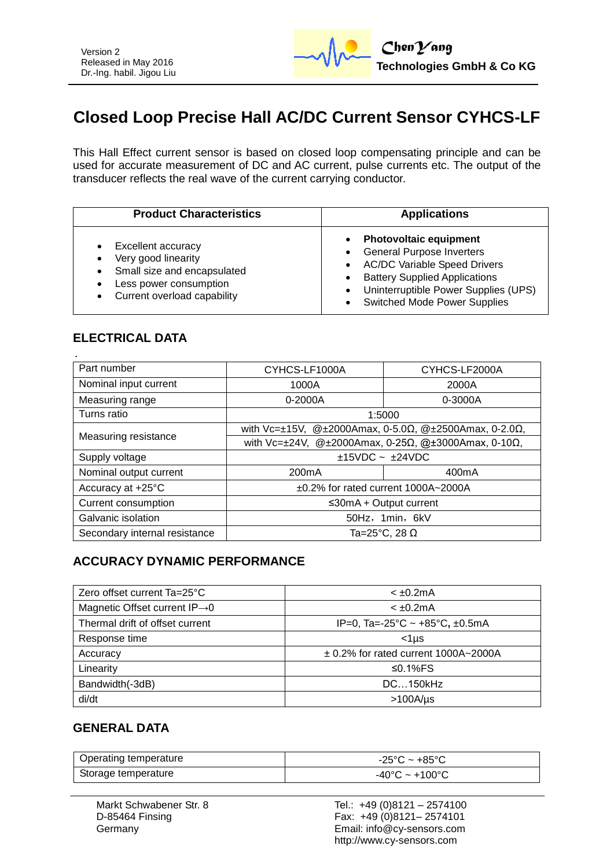

# **Closed Loop Precise Hall AC/DC Current Sensor CYHCS-LF**

This Hall Effect current sensor is based on closed loop compensating principle and can be used for accurate measurement of DC and AC current, pulse currents etc. The output of the transducer reflects the real wave of the current carrying conductor.

| <b>Product Characteristics</b>                                                                                                                              | <b>Applications</b>                                                                                                                                                                                                             |
|-------------------------------------------------------------------------------------------------------------------------------------------------------------|---------------------------------------------------------------------------------------------------------------------------------------------------------------------------------------------------------------------------------|
| Excellent accuracy<br>Very good linearity<br>$\bullet$<br>Small size and encapsulated<br>$\bullet$<br>Less power consumption<br>Current overload capability | <b>Photovoltaic equipment</b><br><b>General Purpose Inverters</b><br><b>AC/DC Variable Speed Drivers</b><br><b>Battery Supplied Applications</b><br>Uninterruptible Power Supplies (UPS)<br><b>Switched Mode Power Supplies</b> |

#### **ELECTRICAL DATA**

| Part number                   | CYHCS-LF1000A                                                                             | CYHCS-LF2000A      |  |
|-------------------------------|-------------------------------------------------------------------------------------------|--------------------|--|
| Nominal input current         | 1000A                                                                                     | 2000A              |  |
| Measuring range               | $0 - 2000A$                                                                               | 0-3000A            |  |
| Turns ratio                   | 1:5000                                                                                    |                    |  |
| Measuring resistance          | with Vc= $\pm$ 15V, @ $\pm$ 2000Amax, 0-5.0 $\Omega$ , @ $\pm$ 2500Amax, 0-2.0 $\Omega$ , |                    |  |
|                               | with Vc= $\pm$ 24V, @ $\pm$ 2000Amax, 0-25 $\Omega$ , @ $\pm$ 3000Amax, 0-10 $\Omega$ ,   |                    |  |
| Supply voltage                | $+15VDC \sim +24VDC$                                                                      |                    |  |
| Nominal output current        | 200 <sub>m</sub> A                                                                        | 400 <sub>m</sub> A |  |
| Accuracy at +25°C             | ±0.2% for rated current 1000A~2000A                                                       |                    |  |
| Current consumption           | $≤30mA + Output$ current                                                                  |                    |  |
| Galvanic isolation            | 50Hz, 1min, 6kV                                                                           |                    |  |
| Secondary internal resistance | Ta=25 $^{\circ}$ C, 28 $\Omega$                                                           |                    |  |

### **ACCURACY DYNAMIC PERFORMANCE**

| Zero offset current Ta=25°C               | $< \pm 0.2$ mA                           |
|-------------------------------------------|------------------------------------------|
| Magnetic Offset current $IP\rightarrow 0$ | $< +0.2$ mA                              |
| Thermal drift of offset current           | IP=0, Ta=-25°C ~ +85°C, ±0.5mA           |
| Response time                             | $<$ 1 µs                                 |
| Accuracy                                  | $\pm$ 0.2% for rated current 1000A~2000A |
| Linearity                                 | ≤0.1% $FS$                               |
| Bandwidth(-3dB)                           | DC150kHz                                 |
| di/dt                                     | >100A/µs                                 |

### **GENERAL DATA**

| Operating temperature | $-25^{\circ}$ C ~ +85 $^{\circ}$ C |
|-----------------------|------------------------------------|
| Storage temperature   | $-40^{\circ}$ C ~ $+100^{\circ}$ C |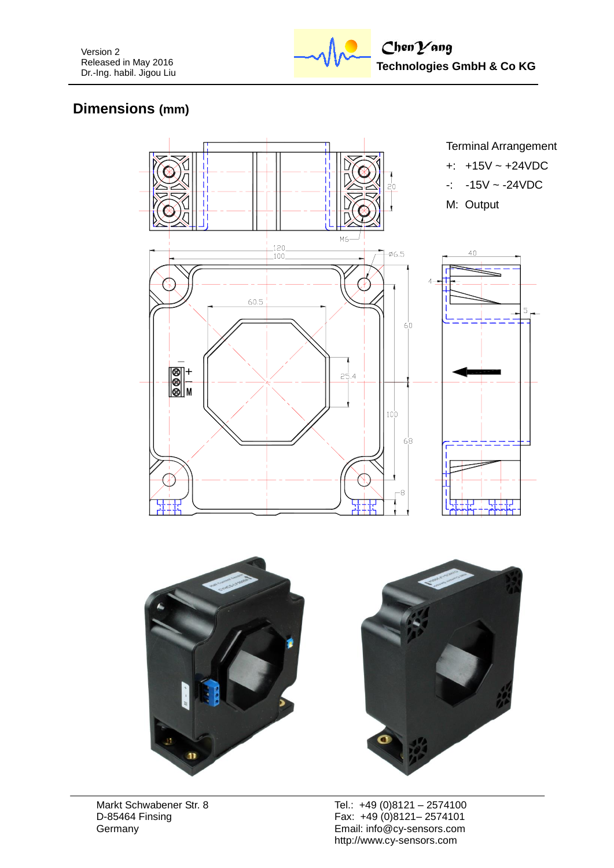

# **Dimensions (mm)**





Markt Schwabener Str. 8 D-85464 Finsing **Germany**